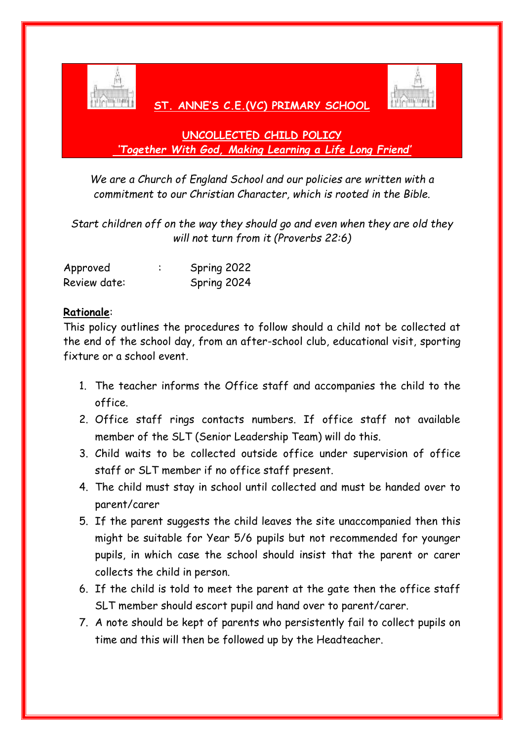

# **ST. ANNE'S C.E.(VC) PRIMARY SCHOOL**



# **UNCOLLECTED CHILD POLICY** *'Together With God, Making Learning a Life Long Friend'*

*We are a Church of England School and our policies are written with a commitment to our Christian Character, which is rooted in the Bible.*

*Start children off on the way they should go and even when they are old they will not turn from it (Proverbs 22:6)*

| Approved     | Spring 2022 |
|--------------|-------------|
| Review date: | Spring 2024 |

## **Rationale**:

This policy outlines the procedures to follow should a child not be collected at the end of the school day, from an after-school club, educational visit, sporting fixture or a school event.

- 1. The teacher informs the Office staff and accompanies the child to the office.
- 2. Office staff rings contacts numbers. If office staff not available member of the SLT (Senior Leadership Team) will do this.
- 3. Child waits to be collected outside office under supervision of office staff or SLT member if no office staff present.
- 4. The child must stay in school until collected and must be handed over to parent/carer
- 5. If the parent suggests the child leaves the site unaccompanied then this might be suitable for Year 5/6 pupils but not recommended for younger pupils, in which case the school should insist that the parent or carer collects the child in person.
- 6. If the child is told to meet the parent at the gate then the office staff SLT member should escort pupil and hand over to parent/carer.
- 7. A note should be kept of parents who persistently fail to collect pupils on time and this will then be followed up by the Headteacher.